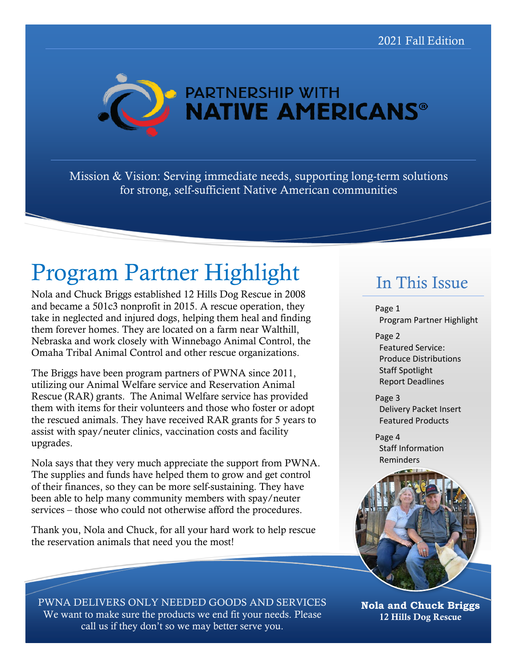

Mission & Vision: Serving immediate needs, supporting long-term solutions for strong, self-sufficient Native American communities

# Program Partner Highlight

Nola and Chuck Briggs established 12 Hills Dog Rescue in 2008 and became a 501c3 nonprofit in 2015. A rescue operation, they take in neglected and injured dogs, helping them heal and finding them forever homes. They are located on a farm near Walthill, Nebraska and work closely with Winnebago Animal Control, the Omaha Tribal Animal Control and other rescue organizations.

The Briggs have been program partners of PWNA since 2011, utilizing our Animal Welfare service and Reservation Animal Rescue (RAR) grants. The Animal Welfare service has provided them with items for their volunteers and those who foster or adopt the rescued animals. They have received RAR grants for 5 years to assist with spay/neuter clinics, vaccination costs and facility upgrades.

Nola says that they very much appreciate the support from PWNA. The supplies and funds have helped them to grow and get control of their finances, so they can be more self-sustaining. They have been able to help many community members with spay/neuter services – those who could not otherwise afford the procedures.

Thank you, Nola and Chuck, for all your hard work to help rescue the reservation animals that need you the most!

## In This Issue

Page 1 Program Partner Highlight

Page 2 Featured Service: Produce Distributions Staff Spotlight Report Deadlines

Page 3 Delivery Packet Insert Featured Products

Page 4 Staff Information Reminders



PWNA DELIVERS ONLY NEEDED GOODS AND SERVICES We want to make sure the products we end fit your needs. Please call us if they don't so we may better serve you.

**Nola and Chuck Briggs** 12 Hills Dog Rescue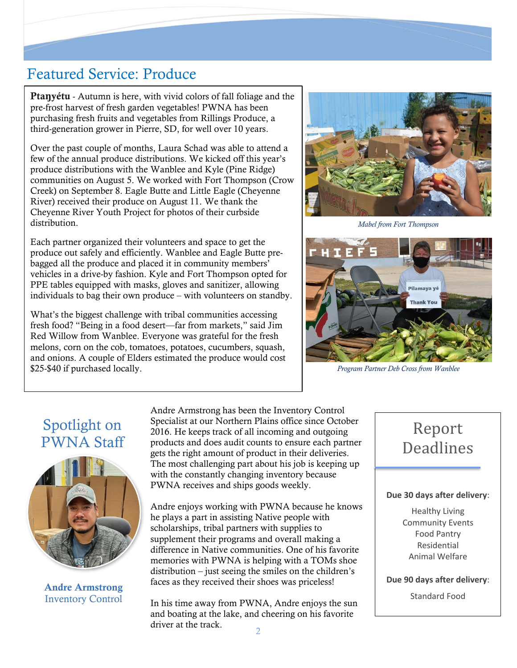### Featured Service: Produce

Pta**ŋ**yétu - Autumn is here, with vivid colors of fall foliage and the pre-frost harvest of fresh garden vegetables! PWNA has been purchasing fresh fruits and vegetables from Rillings Produce, a third-generation grower in Pierre, SD, for well over 10 years.

Over the past couple of months, Laura Schad was able to attend a few of the annual produce distributions. We kicked off this year's produce distributions with the Wanblee and Kyle (Pine Ridge) communities on August 5. We worked with Fort Thompson (Crow Creek) on September 8. Eagle Butte and Little Eagle (Cheyenne River) received their produce on August 11. We thank the Cheyenne River Youth Project for photos of their curbside distribution.

Each partner organized their volunteers and space to get the produce out safely and efficiently. Wanblee and Eagle Butte prebagged all the produce and placed it in community members' vehicles in a drive-by fashion. Kyle and Fort Thompson opted for PPE tables equipped with masks, gloves and sanitizer, allowing individuals to bag their own produce – with volunteers on standby.

What's the biggest challenge with tribal communities accessing fresh food? "Being in a food desert—far from markets," said Jim Red Willow from Wanblee. Everyone was grateful for the fresh melons, corn on the cob, tomatoes, potatoes, cucumbers, squash, and onions. A couple of Elders estimated the produce would cost \$25-\$40 if purchased locally.



*Mabel from Fort Thompson*



*Program Partner Deb Cross from Wanblee*

## Spotlight on PWNA Staff



Andre Armstrong Inventory Control

Andre Armstrong has been the Inventory Control Specialist at our Northern Plains office since October 2016. He keeps track of all incoming and outgoing products and does audit counts to ensure each partner gets the right amount of product in their deliveries. The most challenging part about his job is keeping up with the constantly changing inventory because PWNA receives and ships goods weekly.

Andre enjoys working with PWNA because he knows he plays a part in assisting Native people with scholarships, tribal partners with supplies to supplement their programs and overall making a difference in Native communities. One of his favorite memories with PWNA is helping with a TOMs shoe distribution – just seeing the smiles on the children's faces as they received their shoes was priceless!

In his time away from PWNA, Andre enjoys the sun and boating at the lake, and cheering on his favorite driver at the track.

## Report **Deadlines**

### **Due 30 days after delivery**:

Healthy Living Community Events Food Pantry Residential Animal Welfare

**Due 90 days after delivery**:

Standard Food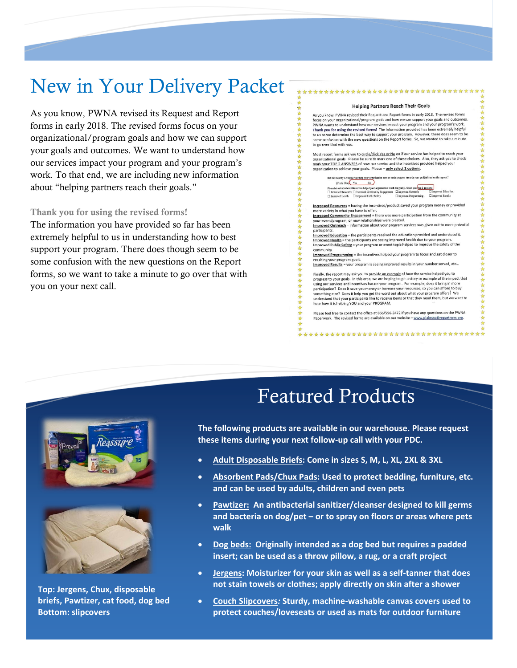## New in Your Delivery Packet

As you know, PWNA revised its Request and Report forms in early 2018. The revised forms focus on your organizational/program goals and how we can support your goals and outcomes. We want to understand how our services impact your program and your program's work. To that end, we are including new information about "helping partners reach their goals."

#### Thank you for using the revised forms!

The information you have provided so far has been extremely helpful to us in understanding how to best support your program. There does though seem to be some confusion with the new questions on the Report forms, so we want to take a minute to go over that with you on your next call.

#### **Helping Partners Reach Their Goals**

\*\*\*\*\*\*\*\*\*\*\*\*\*\*\*\*\*\*\*\*\*\*\*\*\*\*\*\*

女女女女女女女

女女女女女

☆☆ 冷冷冷

☆☆☆☆☆☆☆☆☆☆

女女女女女女女女女

☆

As you know, PWNA revised their Request and Report forms in early 2018. The revised forms As you know, PWNA revised their request and report forms in early 2016. The revised to the SCS of PW and the PW and the PW and the PW and the PW and the PW and the PWNA wants to understand how our services impact your prog to us as we determine the best way to support your program. However, there does seem to be confusion with the new questions on the Report forms. So, we wanted to take a minute some confusion with the<br>to go over that with you.

Most report forms ask you to circle/click Yes or No on if our service has helped to reach your organizational goals. Please be sure to mark one of these choices. Also, they ask you to check Entrict our TOP 2 ANSWERS of how our service and the incentives provided helped your<br>organization to achieve your goals. Please – only select 2 options.

| Did the Healthy Living Service help your organization meet or make progress towards your goal(s) listed on the request? |                        |                    |
|-------------------------------------------------------------------------------------------------------------------------|------------------------|--------------------|
| (Circle One) Yes<br>No                                                                                                  |                        |                    |
| Please let us know how this service helped your organization reach the goal(s). Select your top 2 answers:              |                        |                    |
| □ Increased Resources □ Increased Community Engagement □ Improved Outreach                                              |                        | □ Improved Educat  |
| □ Improved Health □ Improved Public Safety                                                                              | □ Improved Programming | □ Improved Results |

Increased Resources = having the incentives/product saved your program money or provided Interested Community Engagement = there was more participation from the community at<br>Increased Community Engagement = there was more participation from the community at<br>your event/program, or new relationships were created

Improved Outreach = information about your program services was given out to more potential

partucupants.<br>Improved Education = the participants received the education provided and understood it.<br>Improved Health = the participants are seeing improved health due to your program.<br>Improved Public Safety = your progra

community Improved Programming = the incentives helped your program to focus and get closer to

reaching your program goals.<br>
Improved Results = your program is seeing improved results in your number served, etc...

Finally, the report may ask you to provide an example of how the service helped you to progress to your goals. In this area, we are hoping to get a story or example of the impact that program of the control of the control of the control of the control of the control of the control of the control of the state your more participation? Does it as we you money or increase your resources, so you can afford t hear how it is helping YOU and your PROGRAM.

Please feel free to contact the office at 866/556-2472 if you have any questions on the PWNA Paperwork. The revised forms are available on our website - www.plainsnativepartners.org.

\*\*\*\*\*\*\*\*\*\*\*\*\*\*\*\*\*\*\*\*\*\*\*\*\*\*\*\*\*\*\*\*\*\*\*\*



**Top: Jergens, Chux, disposable briefs, Pawtizer, cat food, dog bed Bottom: slipcovers**

## Featured Products

**The following products are available in our warehouse. Please request these items during your next follow-up call with your PDC.**

• **Adult Disposable Briefs: Come in sizes S, M, L, XL, 2XL & 3XL**

♣

☆☆

츔

 $\frac{1}{2\sigma}$ 

 $\rightarrow$ 

- **Absorbent Pads/Chux Pads: Used to protect bedding, furniture, etc. and can be used by adults, children and even pets**
- **Pawtizer: An antibacterial sanitizer/cleanser designed to kill germs and bacteria on dog/pet – or to spray on floors or areas where pets walk**
- **Dog beds: Originally intended as a dog bed but requires a padded insert; can be used as a throw pillow, a rug, or a craft project**
- **Jergens: Moisturizer for your skin as well as a self-tanner that does not stain towels or clothes; apply directly on skin after a shower**
- **Couch Slipcovers***:* **Sturdy, machine-washable canvas covers used to protect couches/loveseats or used as mats for outdoor furniture**